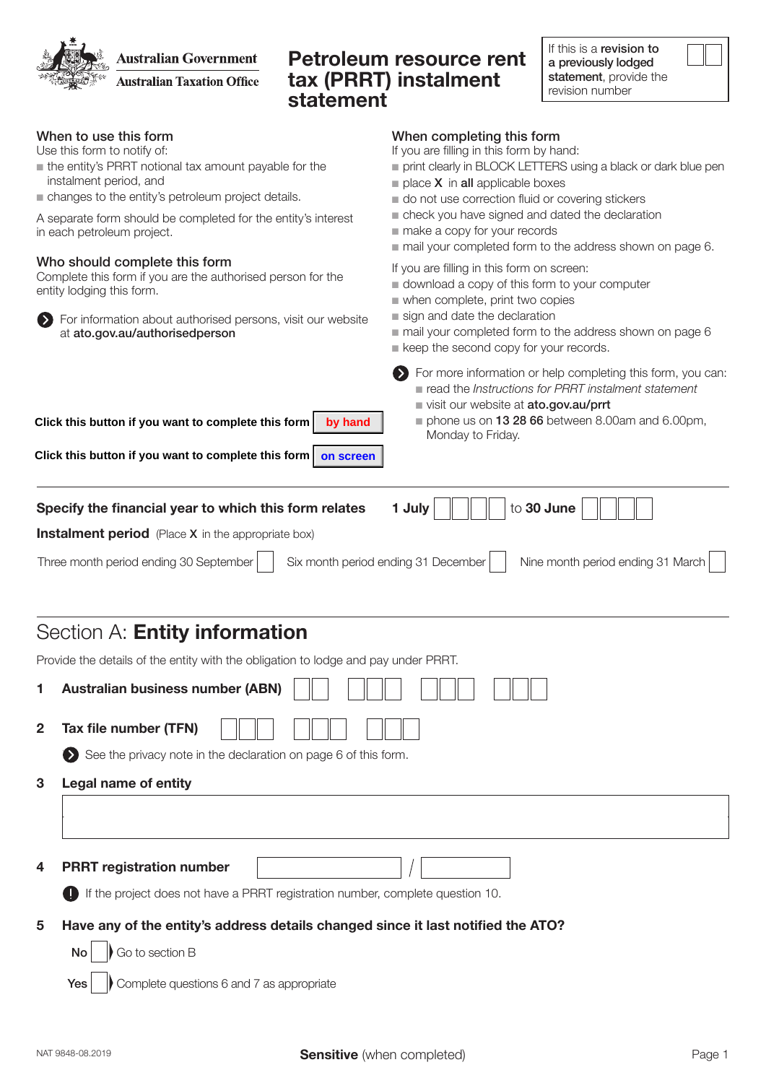If this is a revision to **Australian Government** Petroleum resource rent a previously lodged tax (PRRT) instalment statement, provide the **Australian Taxation Office** revision number statement When to use this form When completing this form Use this form to notify of: If you are filling in this form by hand:  $\blacksquare$  the entity's PRRT notional tax amount payable for the n print clearly in BLOCK LETTERS using a black or dark blue pen instalment period, and  $\blacksquare$  place **X** in **all** applicable boxes  $\blacksquare$  changes to the entity's petroleum project details.  $\blacksquare$  do not use correction fluid or covering stickers check you have signed and dated the declaration A separate form should be completed for the entity's interest  $m$  make a copy for your records in each petroleum project.  $\blacksquare$  mail your completed form to the address shown on page 6. Who should complete this form If you are filling in this form on screen: Complete this form if you are the authorised person for the  $\blacksquare$  download a copy of this form to your computer entity lodging this form.  $\blacksquare$  when complete, print two copies  $\blacksquare$  sign and date the declaration For information about authorised persons, visit our website at ato.gov.au/authorisedperson  $\blacksquare$  mail your completed form to the address shown on page 6  $\blacksquare$  keep the second copy for your records. For more information or help completing this form, you can: n read the *Instructions for PRRT instalment statement* visit our website at ato.gov.au/prrt  $\blacksquare$  phone us on 13 28 66 between 8.00am and 6.00pm, **Click this button if you want to complete this form by hand** Monday to Friday. **Click this button if you want to complete this form** on screen Specify the financial year to which this form relates  $\Box$  1 July  $\Vert \Vert \Vert$  to 30 June **Instalment period** (Place X in the appropriate box) Three month period ending 30 September | Six month period ending 31 December | Nine month period ending 31 March Section A: Entity information Provide the details of the entity with the obligation to lodge and pay under PRRT. 1 Australian business number (ABN) 2 Tax file number (TFN)

 $\bullet$  See the privacy note in the declaration on page 6 of this form.

3 Legal name of entity

4 PRRT registration number

If the project does not have a PRRT registration number, complete question 10.

## 5 Have any of the entity's address details changed since it last notified the ATO?

 $\mathsf{No}$   $\mathsf{\parallel}$  Go to section B

 $Yes \cup$  Complete questions 6 and 7 as appropriate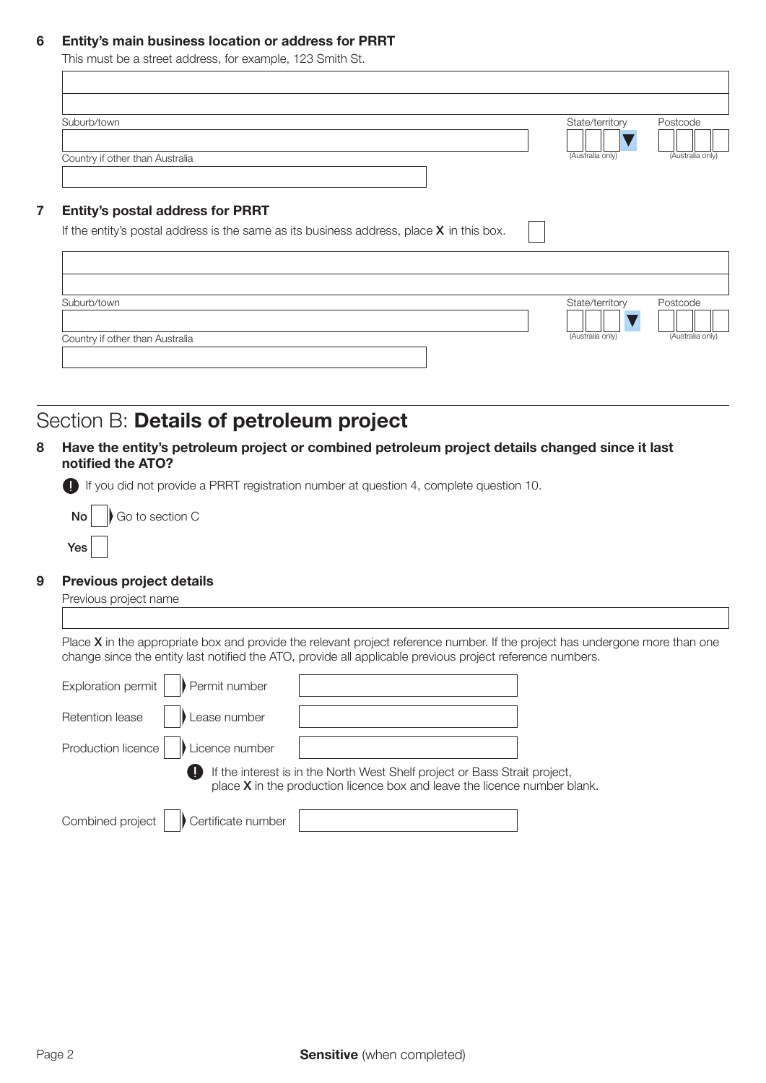### 6 Entity's main business location or address for PRRT

This must be a street address, for example, 123 Smith St.

| Suburb/town                                                                                                                                          |  | State/territory  | Postcode         |
|------------------------------------------------------------------------------------------------------------------------------------------------------|--|------------------|------------------|
| Country if other than Australia                                                                                                                      |  | (Australia only) | (Australia only) |
|                                                                                                                                                      |  |                  |                  |
|                                                                                                                                                      |  |                  |                  |
|                                                                                                                                                      |  |                  |                  |
|                                                                                                                                                      |  |                  |                  |
| <b>Entity's postal address for PRRT</b><br>If the entity's postal address is the same as its business address, place $X$ in this box.<br>Suburb/town |  | State/territory  | Postcode         |

## Section B: Details of petroleum project

8 Have the entity's petroleum project or combined petroleum project details changed since it last notified the ATO?

If you did not provide a PRRT registration number at question 4, complete question 10.

Yes  $\mathsf{No}$   $\mathsf{No}$  Go to section C

#### 9 Previous project details

Previous project name

Place X in the appropriate box and provide the relevant project reference number. If the project has undergone more than one change since the entity last notified the ATO, provide all applicable previous project reference numbers.

| Exploration permit<br>Permit number    |                                                                                                                                                           |  |
|----------------------------------------|-----------------------------------------------------------------------------------------------------------------------------------------------------------|--|
| Retention lease<br>Lease number        |                                                                                                                                                           |  |
| Production licence<br>Licence number   |                                                                                                                                                           |  |
|                                        | If the interest is in the North West Shelf project or Bass Strait project,<br>place $X$ in the production licence box and leave the licence number blank. |  |
| Combined project<br>Certificate number |                                                                                                                                                           |  |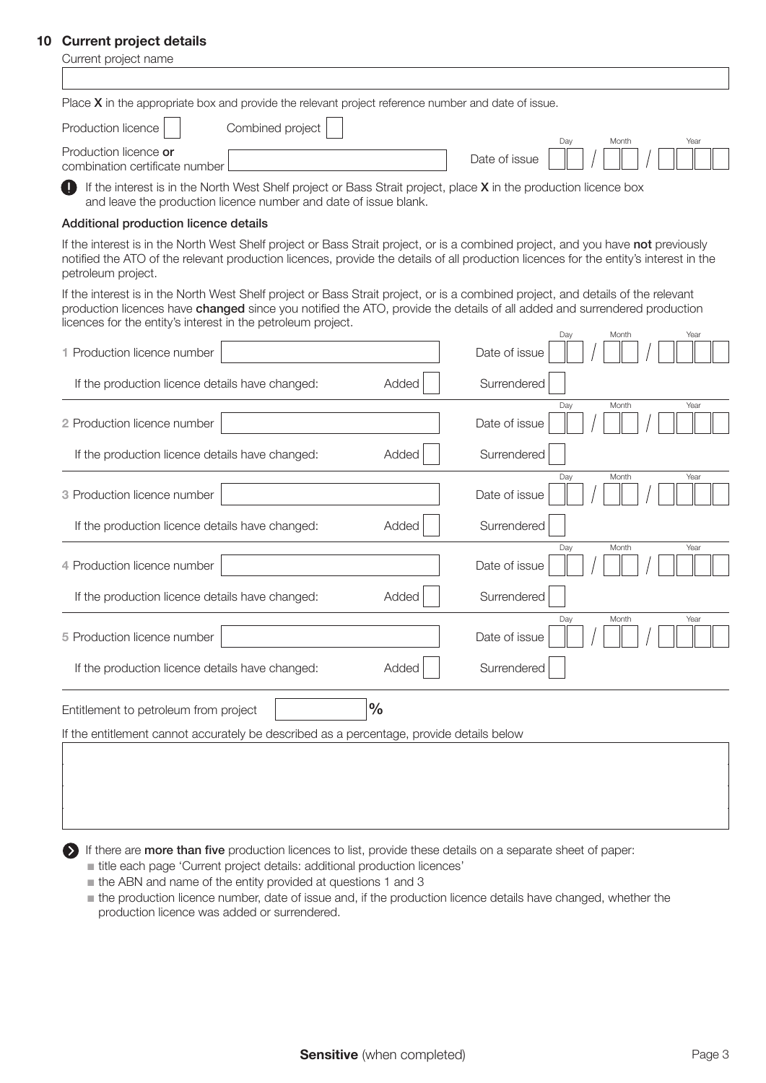### 10 Current project details

| <b>Current project details</b><br>Current project name                                                                                                                                                                                                                                                                       |                                       |  |  |  |
|------------------------------------------------------------------------------------------------------------------------------------------------------------------------------------------------------------------------------------------------------------------------------------------------------------------------------|---------------------------------------|--|--|--|
|                                                                                                                                                                                                                                                                                                                              |                                       |  |  |  |
| Place $X$ in the appropriate box and provide the relevant project reference number and date of issue.                                                                                                                                                                                                                        |                                       |  |  |  |
| Production licence<br>Combined project                                                                                                                                                                                                                                                                                       |                                       |  |  |  |
| Production licence or<br>combination certificate number                                                                                                                                                                                                                                                                      | Year<br>Day<br>Month<br>Date of issue |  |  |  |
| If the interest is in the North West Shelf project or Bass Strait project, place X in the production licence box<br>and leave the production licence number and date of issue blank.                                                                                                                                         |                                       |  |  |  |
| Additional production licence details                                                                                                                                                                                                                                                                                        |                                       |  |  |  |
| If the interest is in the North West Shelf project or Bass Strait project, or is a combined project, and you have not previously<br>notified the ATO of the relevant production licences, provide the details of all production licences for the entity's interest in the<br>petroleum project.                              |                                       |  |  |  |
| If the interest is in the North West Shelf project or Bass Strait project, or is a combined project, and details of the relevant<br>production licences have changed since you notified the ATO, provide the details of all added and surrendered production<br>licences for the entity's interest in the petroleum project. |                                       |  |  |  |
| 1 Production licence number                                                                                                                                                                                                                                                                                                  | Day<br>Month<br>Year<br>Date of issue |  |  |  |
| If the production licence details have changed:<br>Added                                                                                                                                                                                                                                                                     | Surrendered                           |  |  |  |
| 2 Production licence number                                                                                                                                                                                                                                                                                                  | Day<br>Month<br>Year<br>Date of issue |  |  |  |
| Added<br>If the production licence details have changed:                                                                                                                                                                                                                                                                     | Surrendered                           |  |  |  |
| 3 Production licence number                                                                                                                                                                                                                                                                                                  | Day<br>Month<br>Year<br>Date of issue |  |  |  |
| Added<br>If the production licence details have changed:                                                                                                                                                                                                                                                                     | Surrendered                           |  |  |  |
| 4 Production licence number                                                                                                                                                                                                                                                                                                  | Day<br>Month<br>Year<br>Date of issue |  |  |  |
| If the production licence details have changed:<br>Added                                                                                                                                                                                                                                                                     | Surrendered                           |  |  |  |
| 5 Production licence number                                                                                                                                                                                                                                                                                                  | Month<br>Date of issue                |  |  |  |
| Added<br>If the production licence details have changed:                                                                                                                                                                                                                                                                     | Surrendered                           |  |  |  |
| $\frac{0}{0}$<br>Entitlement to petroleum from project                                                                                                                                                                                                                                                                       |                                       |  |  |  |
| If the entitlement cannot accurately be described as a percentage, provide details below                                                                                                                                                                                                                                     |                                       |  |  |  |
|                                                                                                                                                                                                                                                                                                                              |                                       |  |  |  |
|                                                                                                                                                                                                                                                                                                                              |                                       |  |  |  |
|                                                                                                                                                                                                                                                                                                                              |                                       |  |  |  |

If there are more than five production licences to list, provide these details on a separate sheet of paper:

- title each page 'Current project details: additional production licences'
- $\blacksquare$  the ABN and name of the entity provided at questions 1 and 3
- $n$  the production licence number, date of issue and, if the production licence details have changed, whether the production licence was added or surrendered.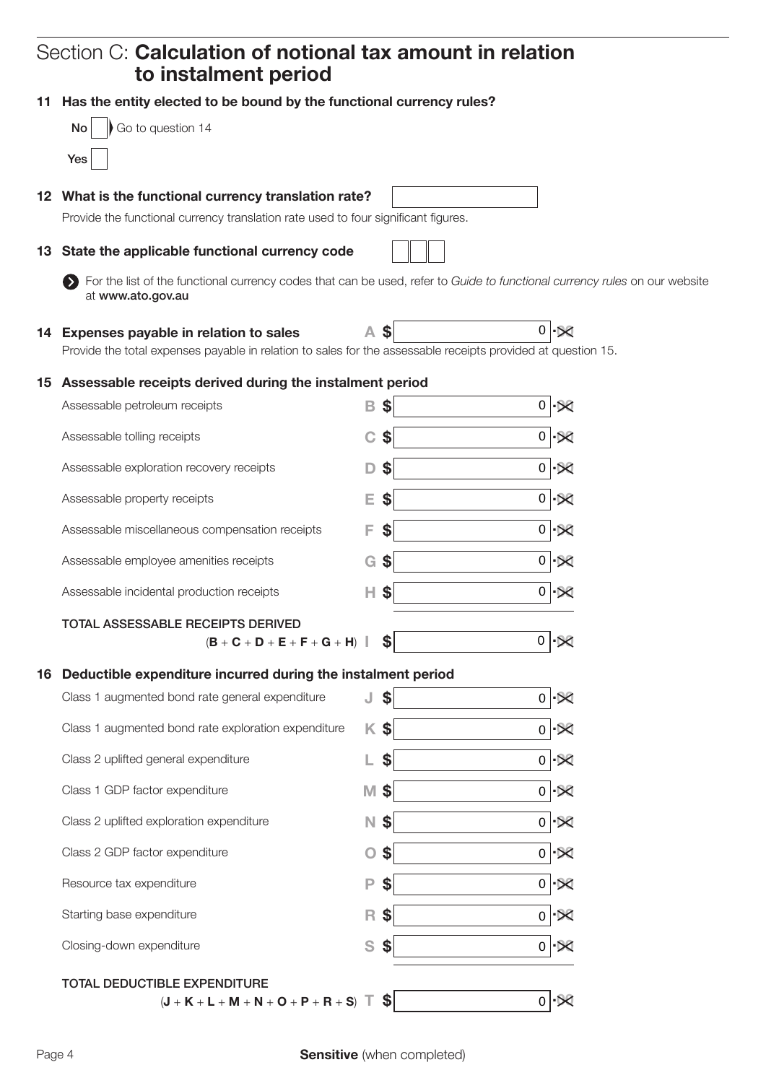# Section C: Calculation of notional tax amount in relation to instalment period

|    | 11 Has the entity elected to be bound by the functional currency rules?                                                                         |              |            |                |                          |
|----|-------------------------------------------------------------------------------------------------------------------------------------------------|--------------|------------|----------------|--------------------------|
|    | Go to question 14<br><b>No</b>                                                                                                                  |              |            |                |                          |
|    | Yes                                                                                                                                             |              |            |                |                          |
|    | 12 What is the functional currency translation rate?                                                                                            |              |            |                |                          |
|    | Provide the functional currency translation rate used to four significant figures.                                                              |              |            |                |                          |
|    | 13 State the applicable functional currency code                                                                                                |              |            |                |                          |
|    | For the list of the functional currency codes that can be used, refer to Guide to functional currency rules on our website<br>at www.ato.gov.au |              |            |                |                          |
|    | 14 Expenses payable in relation to sales                                                                                                        | A.           | \$         |                | $0 - 80$                 |
|    | Provide the total expenses payable in relation to sales for the assessable receipts provided at question 15.                                    |              |            |                |                          |
|    | 15 Assessable receipts derived during the instalment period                                                                                     |              |            |                |                          |
|    | Assessable petroleum receipts                                                                                                                   | в            | \$         | 0              |                          |
|    | Assessable tolling receipts                                                                                                                     | C            | \$         | 0              |                          |
|    | Assessable exploration recovery receipts                                                                                                        |              | S          | 0              |                          |
|    | Assessable property receipts                                                                                                                    | Е            | S          | $\overline{0}$ | ŀ⊠                       |
|    | Assessable miscellaneous compensation receipts                                                                                                  |              | \$         | $\overline{0}$ | $\sim$                   |
|    | Assessable employee amenities receipts                                                                                                          | G            | \$         | 0              | ∙⊠                       |
|    | Assessable incidental production receipts                                                                                                       | H.           | \$         |                | $0 .\times$              |
|    | <b>TOTAL ASSESSABLE RECEIPTS DERIVED</b>                                                                                                        |              |            |                |                          |
|    | $(B + C + D + E + F + G + H)$                                                                                                                   |              | S          | 0              |                          |
| 16 | Deductible expenditure incurred during the instalment period                                                                                    |              |            |                |                          |
|    | Class 1 augmented bond rate general expenditure                                                                                                 |              | $J$ \$     |                | $0 \cdot \mathbb{R}$     |
|    | Class 1 augmented bond rate exploration expenditure                                                                                             |              | <b>K\$</b> |                | $0$ $\sim$               |
|    | Class 2 uplifted general expenditure                                                                                                            |              | \$         |                | $0$ $\mathcal{R}$        |
|    | Class 1 GDP factor expenditure                                                                                                                  | M            | \$         |                | $0 \times$               |
|    | Class 2 uplifted exploration expenditure                                                                                                        | N.           | \$         |                | $0$ $\sim$               |
|    | Class 2 GDP factor expenditure                                                                                                                  | $\mathbf{O}$ | \$         |                | $0$ $\cdot$ $\otimes$    |
|    | Resource tax expenditure                                                                                                                        | P            | \$         |                | $0 - R$                  |
|    | Starting base expenditure                                                                                                                       | $\mathsf R$  | \$         |                | $0$ $\rightarrow \infty$ |
|    | Closing-down expenditure                                                                                                                        | S            | \$         |                | $0$ $\rightarrow \infty$ |
|    | TOTAL DEDUCTIBLE EXPENDITURE                                                                                                                    |              |            |                |                          |
|    | $(J + K + L + M + N + O + P + R + S)$                                                                                                           |              | 3          |                | $0$ $\mathbb{R}$         |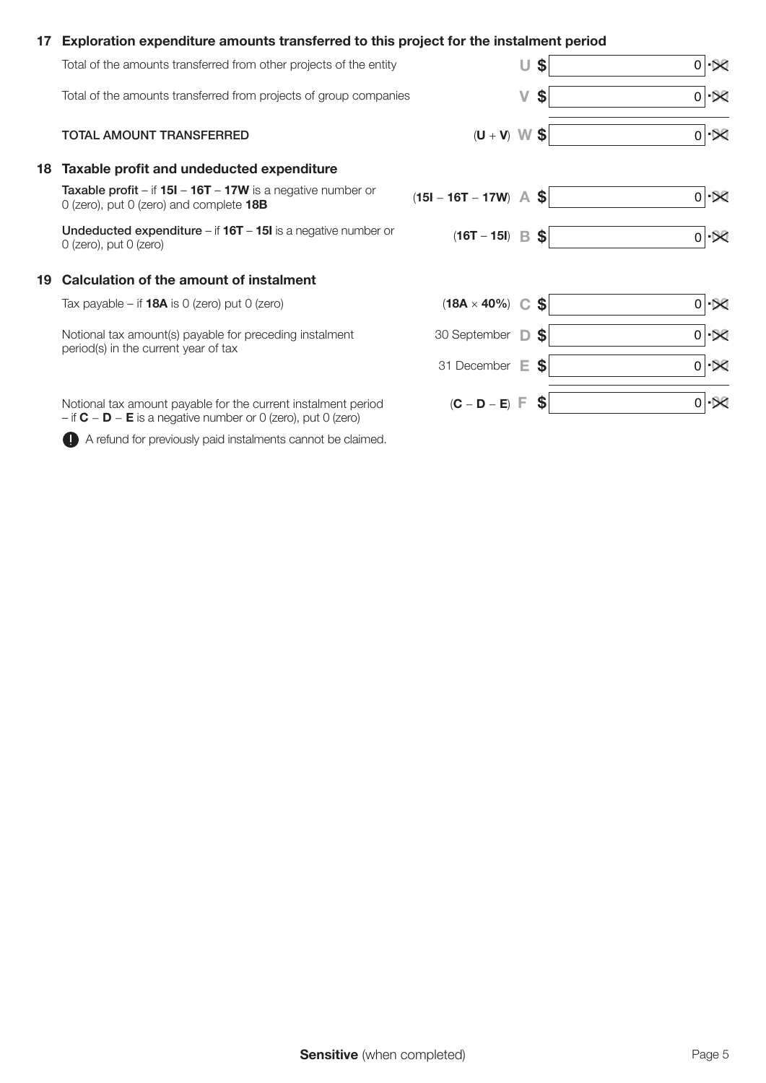### 17 Exploration expenditure amounts transferred to this project for the instalment period

|    | Total of the amounts transferred from other projects of the entity                                                                 |                              | U | \$                        | $0 \mathbf{X} $      |
|----|------------------------------------------------------------------------------------------------------------------------------------|------------------------------|---|---------------------------|----------------------|
|    | Total of the amounts transferred from projects of group companies                                                                  |                              | V | \$                        | $0 \cdot \mathbb{R}$ |
|    | TOTAL AMOUNT TRANSFERRED                                                                                                           | $(W + V)$                    |   | \$                        | $01\times$           |
| 18 | Taxable profit and undeducted expenditure                                                                                          |                              |   |                           |                      |
|    | <b>Taxable profit – if 15I – 16T – 17W</b> is a negative number or<br>0 (zero), put 0 (zero) and complete 18B                      | $(15I - 16T - 17W)$ A \$     |   |                           | $0 \cdot \mathbb{R}$ |
|    | Undeducted expenditure $-$ if $16T - 15I$ is a negative number or<br>$O$ (zero), put $O$ (zero)                                    | $(16T - 15I)$ B \$           |   |                           | $0 \cdot \mathbb{R}$ |
| 19 | Calculation of the amount of instalment                                                                                            |                              |   |                           |                      |
|    | Tax payable – if <b>18A</b> is 0 (zero) put 0 (zero)                                                                               | $(18A \times 40\%)$ C \$     |   |                           | $0 \mathcal{R} $     |
|    | Notional tax amount(s) payable for preceding instalment<br>period(s) in the current year of tax                                    | 30 September D               |   | $\mathbf{s}$              | $0 \cdot 80$         |
|    |                                                                                                                                    | 31 December E                |   | \$                        | $0 \cdot \mathbb{R}$ |
|    | Notional tax amount payable for the current instalment period<br>$-$ if $C - D - E$ is a negative number or 0 (zero), put 0 (zero) | $(C - D - E)$ $\overline{F}$ |   | $\boldsymbol{\mathsf{s}}$ | $0 \mathcal{R} $     |

A refund for previously paid instalments cannot be claimed.